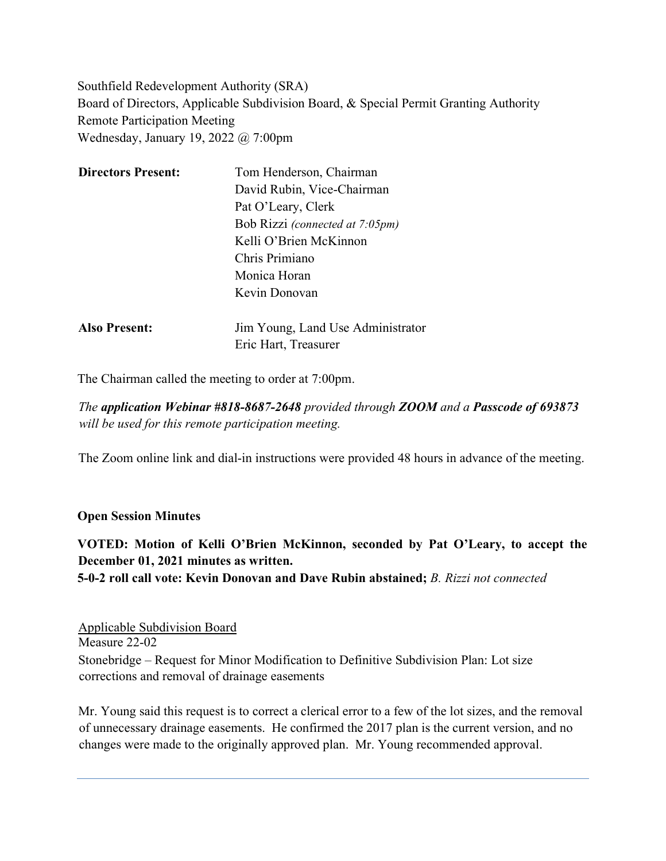Southfield Redevelopment Authority (SRA) Board of Directors, Applicable Subdivision Board, & Special Permit Granting Authority Remote Participation Meeting Wednesday, January 19, 2022 @ 7:00pm

| <b>Directors Present:</b> | Tom Henderson, Chairman           |
|---------------------------|-----------------------------------|
|                           | David Rubin, Vice-Chairman        |
|                           | Pat O'Leary, Clerk                |
|                           | Bob Rizzi (connected at 7:05pm)   |
|                           | Kelli O'Brien McKinnon            |
|                           | Chris Primiano                    |
|                           | Monica Horan                      |
|                           | Kevin Donovan                     |
| <b>Also Present:</b>      | Jim Young, Land Use Administrator |
|                           | Eric Hart, Treasurer              |

The Chairman called the meeting to order at 7:00pm.

*The application Webinar #818-8687-2648 provided through ZOOM and a Passcode of 693873 will be used for this remote participation meeting.*

The Zoom online link and dial-in instructions were provided 48 hours in advance of the meeting.

#### **Open Session Minutes**

## **VOTED: Motion of Kelli O'Brien McKinnon, seconded by Pat O'Leary, to accept the December 01, 2021 minutes as written.**

**5-0-2 roll call vote: Kevin Donovan and Dave Rubin abstained;** *B. Rizzi not connected*

Applicable Subdivision Board Measure 22-02 Stonebridge – Request for Minor Modification to Definitive Subdivision Plan: Lot size corrections and removal of drainage easements

Mr. Young said this request is to correct a clerical error to a few of the lot sizes, and the removal of unnecessary drainage easements. He confirmed the 2017 plan is the current version, and no changes were made to the originally approved plan. Mr. Young recommended approval.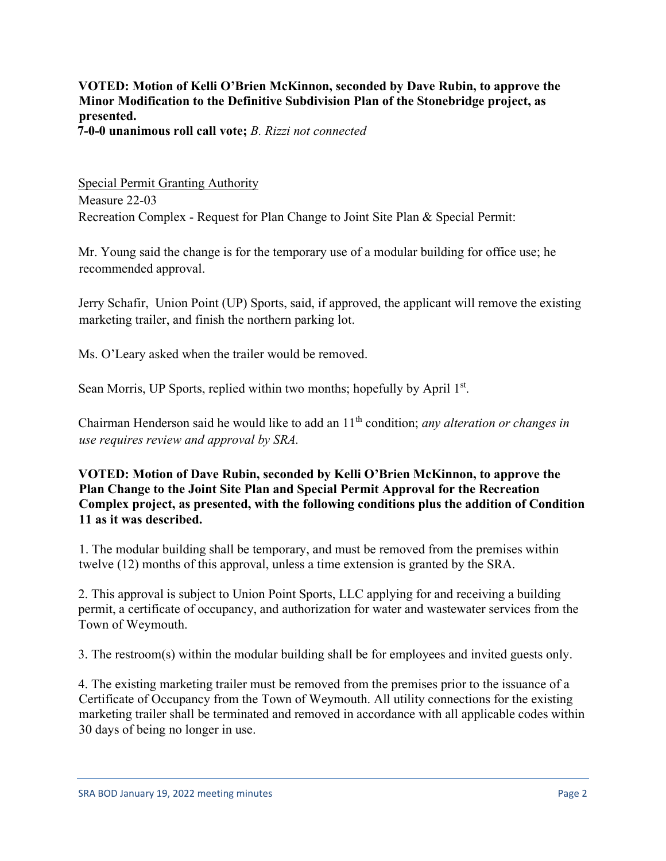**VOTED: Motion of Kelli O'Brien McKinnon, seconded by Dave Rubin, to approve the Minor Modification to the Definitive Subdivision Plan of the Stonebridge project, as presented.** 

**7-0-0 unanimous roll call vote;** *B. Rizzi not connected*

Special Permit Granting Authority Measure 22-03 Recreation Complex - Request for Plan Change to Joint Site Plan & Special Permit:

Mr. Young said the change is for the temporary use of a modular building for office use; he recommended approval.

Jerry Schafir, Union Point (UP) Sports, said, if approved, the applicant will remove the existing marketing trailer, and finish the northern parking lot.

Ms. O'Leary asked when the trailer would be removed.

Sean Morris, UP Sports, replied within two months; hopefully by April 1<sup>st</sup>.

Chairman Henderson said he would like to add an 11th condition; *any alteration or changes in use requires review and approval by SRA.*

### **VOTED: Motion of Dave Rubin, seconded by Kelli O'Brien McKinnon, to approve the Plan Change to the Joint Site Plan and Special Permit Approval for the Recreation Complex project, as presented, with the following conditions plus the addition of Condition 11 as it was described.**

1. The modular building shall be temporary, and must be removed from the premises within twelve (12) months of this approval, unless a time extension is granted by the SRA.

2. This approval is subject to Union Point Sports, LLC applying for and receiving a building permit, a certificate of occupancy, and authorization for water and wastewater services from the Town of Weymouth.

3. The restroom(s) within the modular building shall be for employees and invited guests only.

4. The existing marketing trailer must be removed from the premises prior to the issuance of a Certificate of Occupancy from the Town of Weymouth. All utility connections for the existing marketing trailer shall be terminated and removed in accordance with all applicable codes within 30 days of being no longer in use.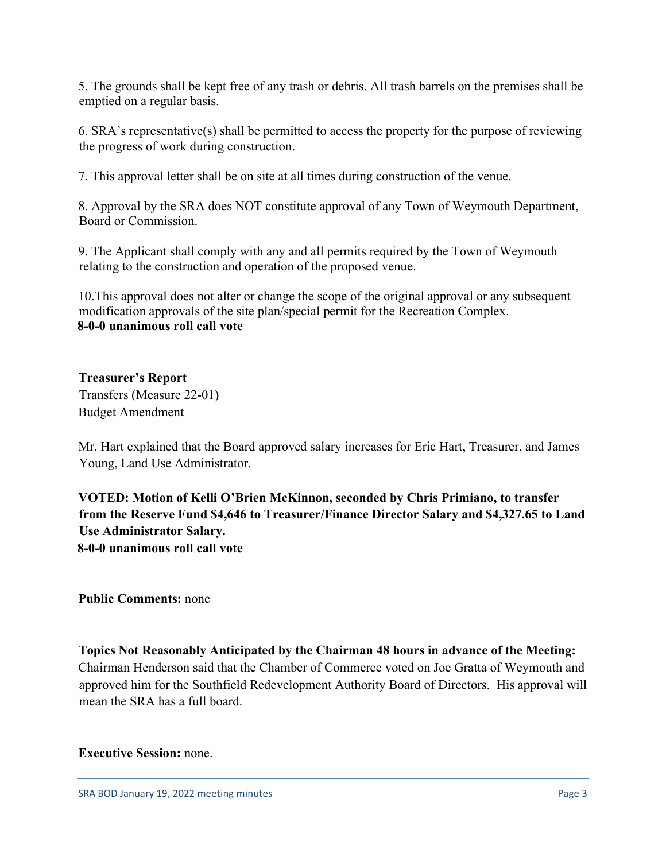5. The grounds shall be kept free of any trash or debris. All trash barrels on the premises shall be emptied on a regular basis.

6. SRA's representative(s) shall be permitted to access the property for the purpose of reviewing the progress of work during construction.

7. This approval letter shall be on site at all times during construction of the venue.

8. Approval by the SRA does NOT constitute approval of any Town of Weymouth Department, Board or Commission.

9. The Applicant shall comply with any and all permits required by the Town of Weymouth relating to the construction and operation of the proposed venue.

10.This approval does not alter or change the scope of the original approval or any subsequent modification approvals of the site plan/special permit for the Recreation Complex. **8-0-0 unanimous roll call vote**

**Treasurer's Report**  Transfers (Measure 22-01) Budget Amendment

Mr. Hart explained that the Board approved salary increases for Eric Hart, Treasurer, and James Young, Land Use Administrator.

**VOTED: Motion of Kelli O'Brien McKinnon, seconded by Chris Primiano, to transfer from the Reserve Fund \$4,646 to Treasurer/Finance Director Salary and \$4,327.65 to Land Use Administrator Salary. 8-0-0 unanimous roll call vote**

**Public Comments:** none

**Topics Not Reasonably Anticipated by the Chairman 48 hours in advance of the Meeting:**  Chairman Henderson said that the Chamber of Commerce voted on Joe Gratta of Weymouth and approved him for the Southfield Redevelopment Authority Board of Directors. His approval will mean the SRA has a full board.

#### **Executive Session:** none.